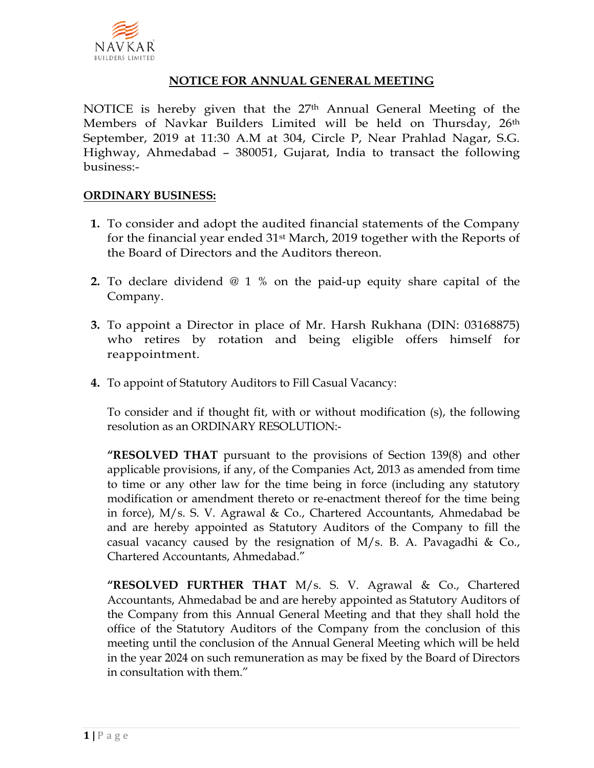

### **NOTICE FOR ANNUAL GENERAL MEETING**

NOTICE is hereby given that the 27th Annual General Meeting of the Members of Navkar Builders Limited will be held on Thursday, 26<sup>th</sup> September, 2019 at 11:30 A.M at 304, Circle P, Near Prahlad Nagar, S.G. Highway, Ahmedabad – 380051, Gujarat, India to transact the following business:-

#### **ORDINARY BUSINESS:**

- **1.** To consider and adopt the audited financial statements of the Company for the financial year ended 31st March, 2019 together with the Reports of the Board of Directors and the Auditors thereon.
- **2.** To declare dividend @ 1 % on the paid-up equity share capital of the Company.
- **3.** To appoint a Director in place of Mr. Harsh Rukhana (DIN: 03168875) who retires by rotation and being eligible offers himself for reappointment.
- **4.** To appoint of Statutory Auditors to Fill Casual Vacancy:

To consider and if thought fit, with or without modification (s), the following resolution as an ORDINARY RESOLUTION:-

**"RESOLVED THAT** pursuant to the provisions of Section 139(8) and other applicable provisions, if any, of the Companies Act, 2013 as amended from time to time or any other law for the time being in force (including any statutory modification or amendment thereto or re-enactment thereof for the time being in force), M/s. S. V. Agrawal & Co., Chartered Accountants, Ahmedabad be and are hereby appointed as Statutory Auditors of the Company to fill the casual vacancy caused by the resignation of M/s. B. A. Pavagadhi & Co., Chartered Accountants, Ahmedabad."

**"RESOLVED FURTHER THAT** M/s. S. V. Agrawal & Co., Chartered Accountants, Ahmedabad be and are hereby appointed as Statutory Auditors of the Company from this Annual General Meeting and that they shall hold the office of the Statutory Auditors of the Company from the conclusion of this meeting until the conclusion of the Annual General Meeting which will be held in the year 2024 on such remuneration as may be fixed by the Board of Directors in consultation with them."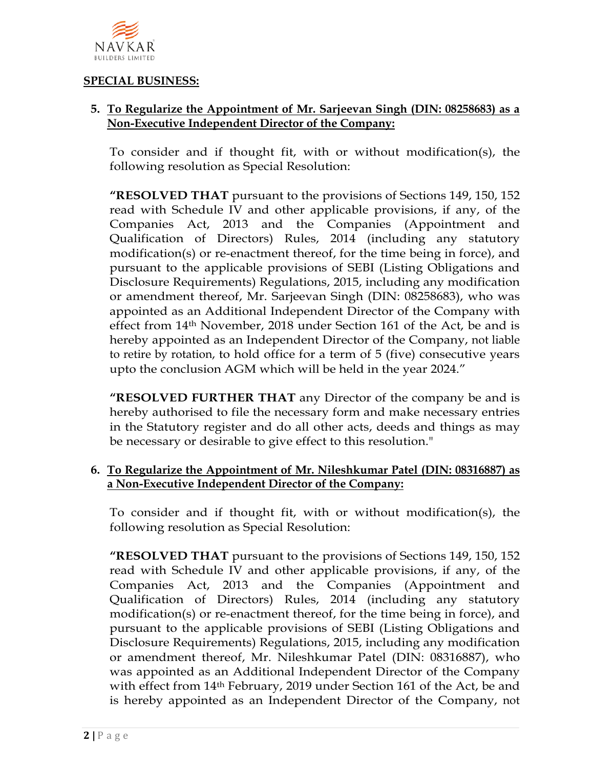

#### **SPECIAL BUSINESS:**

## **5. To Regularize the Appointment of Mr. Sarjeevan Singh (DIN: 08258683) as a Non-Executive Independent Director of the Company:**

To consider and if thought fit, with or without modification(s), the following resolution as Special Resolution:

**"RESOLVED THAT** pursuant to the provisions of Sections 149, 150, 152 read with Schedule IV and other applicable provisions, if any, of the Companies Act, 2013 and the Companies (Appointment and Qualification of Directors) Rules, 2014 (including any statutory modification(s) or re-enactment thereof, for the time being in force), and pursuant to the applicable provisions of SEBI (Listing Obligations and Disclosure Requirements) Regulations, 2015, including any modification or amendment thereof, Mr. Sarjeevan Singh (DIN: 08258683), who was appointed as an Additional Independent Director of the Company with effect from 14th November, 2018 under Section 161 of the Act, be and is hereby appointed as an Independent Director of the Company, not liable to retire by rotation, to hold office for a term of 5 (five) consecutive years upto the conclusion AGM which will be held in the year 2024."

**"RESOLVED FURTHER THAT** any Director of the company be and is hereby authorised to file the necessary form and make necessary entries in the Statutory register and do all other acts, deeds and things as may be necessary or desirable to give effect to this resolution."

## **6. To Regularize the Appointment of Mr. Nileshkumar Patel (DIN: 08316887) as a Non-Executive Independent Director of the Company:**

To consider and if thought fit, with or without modification(s), the following resolution as Special Resolution:

**"RESOLVED THAT** pursuant to the provisions of Sections 149, 150, 152 read with Schedule IV and other applicable provisions, if any, of the Companies Act, 2013 and the Companies (Appointment and Qualification of Directors) Rules, 2014 (including any statutory modification(s) or re-enactment thereof, for the time being in force), and pursuant to the applicable provisions of SEBI (Listing Obligations and Disclosure Requirements) Regulations, 2015, including any modification or amendment thereof, Mr. Nileshkumar Patel (DIN: 08316887), who was appointed as an Additional Independent Director of the Company with effect from 14<sup>th</sup> February, 2019 under Section 161 of the Act, be and is hereby appointed as an Independent Director of the Company, not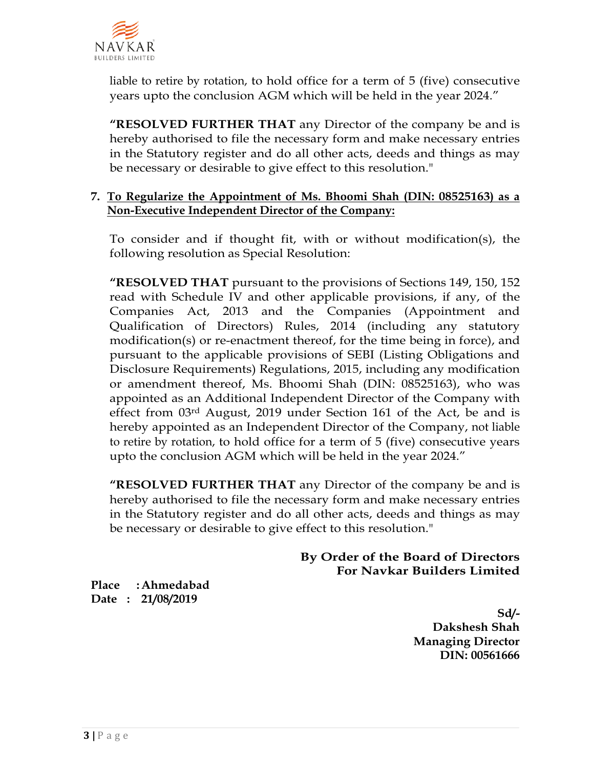

liable to retire by rotation, to hold office for a term of 5 (five) consecutive years upto the conclusion AGM which will be held in the year 2024."

**"RESOLVED FURTHER THAT** any Director of the company be and is hereby authorised to file the necessary form and make necessary entries in the Statutory register and do all other acts, deeds and things as may be necessary or desirable to give effect to this resolution."

### **7. To Regularize the Appointment of Ms. Bhoomi Shah (DIN: 08525163) as a Non-Executive Independent Director of the Company:**

To consider and if thought fit, with or without modification(s), the following resolution as Special Resolution:

**"RESOLVED THAT** pursuant to the provisions of Sections 149, 150, 152 read with Schedule IV and other applicable provisions, if any, of the Companies Act, 2013 and the Companies (Appointment and Qualification of Directors) Rules, 2014 (including any statutory modification(s) or re-enactment thereof, for the time being in force), and pursuant to the applicable provisions of SEBI (Listing Obligations and Disclosure Requirements) Regulations, 2015, including any modification or amendment thereof, Ms. Bhoomi Shah (DIN: 08525163), who was appointed as an Additional Independent Director of the Company with effect from  $03<sup>rd</sup>$  August, 2019 under Section 161 of the Act, be and is hereby appointed as an Independent Director of the Company, not liable to retire by rotation, to hold office for a term of 5 (five) consecutive years upto the conclusion AGM which will be held in the year 2024."

**"RESOLVED FURTHER THAT** any Director of the company be and is hereby authorised to file the necessary form and make necessary entries in the Statutory register and do all other acts, deeds and things as may be necessary or desirable to give effect to this resolution."

### **By Order of the Board of Directors For Navkar Builders Limited**

**Place :Ahmedabad Date : 21/08/2019**

> **Sd/- Dakshesh Shah Managing Director DIN: 00561666**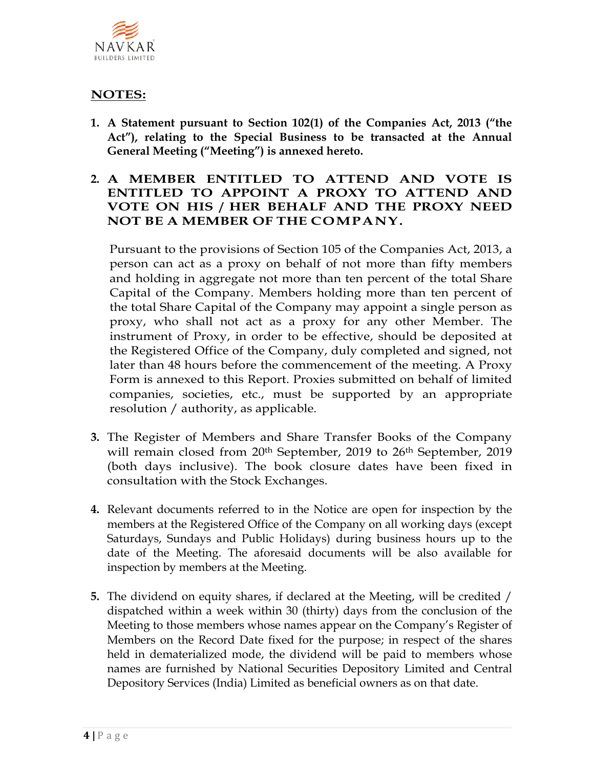

# **NOTES:**

- **1. A Statement pursuant to Section 102(1) of the Companies Act, 2013 ("the Act"), relating to the Special Business to be transacted at the Annual General Meeting ("Meeting") is annexed hereto.**
- **2. A MEMBER ENTITLED TO ATTEND AND VOTE IS ENTITLED TO APPOINT A PROXY TO ATTEND AND VOTE ON HIS / HER BEHALF AND THE PROXY NEED NOT BE A MEMBER OF THE COMPANY.**

Pursuant to the provisions of Section 105 of the Companies Act, 2013, a person can act as a proxy on behalf of not more than fifty members and holding in aggregate not more than ten percent of the total Share Capital of the Company. Members holding more than ten percent of the total Share Capital of the Company may appoint a single person as proxy, who shall not act as a proxy for any other Member. The instrument of Proxy, in order to be effective, should be deposited at the Registered Office of the Company, duly completed and signed, not later than 48 hours before the commencement of the meeting. A Proxy Form is annexed to this Report. Proxies submitted on behalf of limited companies, societies, etc., must be supported by an appropriate resolution / authority, as applicable.

- **3.** The Register of Members and Share Transfer Books of the Company will remain closed from 20<sup>th</sup> September, 2019 to 26<sup>th</sup> September, 2019 (both days inclusive). The book closure dates have been fixed in consultation with the Stock Exchanges.
- **4.** Relevant documents referred to in the Notice are open for inspection by the members at the Registered Office of the Company on all working days (except Saturdays, Sundays and Public Holidays) during business hours up to the date of the Meeting. The aforesaid documents will be also available for inspection by members at the Meeting.
- **5.** The dividend on equity shares, if declared at the Meeting, will be credited / dispatched within a week within 30 (thirty) days from the conclusion of the Meeting to those members whose names appear on the Company's Register of Members on the Record Date fixed for the purpose; in respect of the shares held in dematerialized mode, the dividend will be paid to members whose names are furnished by National Securities Depository Limited and Central Depository Services (India) Limited as beneficial owners as on that date.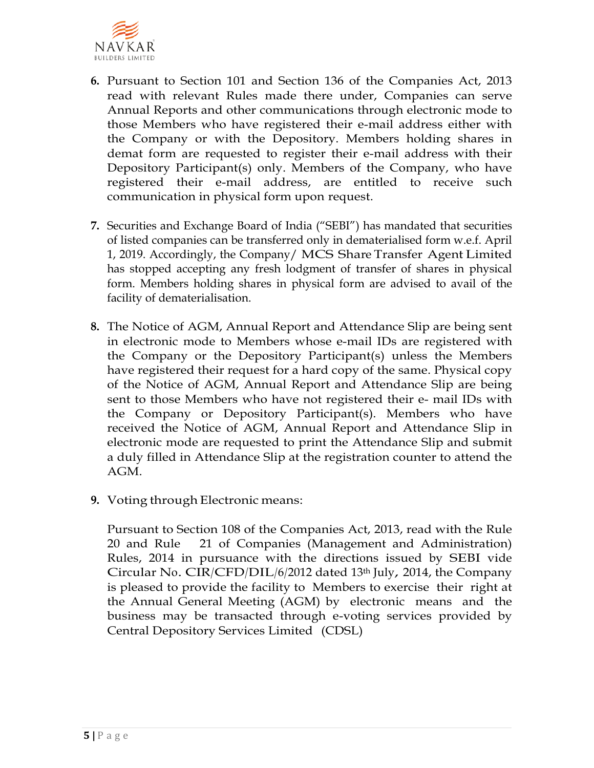

- **6.** Pursuant to Section 101 and Section 136 of the Companies Act, 2013 read with relevant Rules made there under, Companies can serve Annual Reports and other communications through electronic mode to those Members who have registered their e-mail address either with the Company or with the Depository. Members holding shares in demat form are requested to register their e-mail address with their Depository Participant(s) only. Members of the Company, who have registered their e-mail address, are entitled to receive such communication in physical form upon request.
- **7.** Securities and Exchange Board of India ("SEBI") has mandated that securities of listed companies can be transferred only in dematerialised form w.e.f. April 1, 2019. Accordingly, the Company/ MCS Share Transfer Agent Limited has stopped accepting any fresh lodgment of transfer of shares in physical form. Members holding shares in physical form are advised to avail of the facility of dematerialisation.
- **8.** The Notice of AGM, Annual Report and Attendance Slip are being sent in electronic mode to Members whose e-mail IDs are registered with the Company or the Depository Participant(s) unless the Members have registered their request for a hard copy of the same. Physical copy of the Notice of AGM, Annual Report and Attendance Slip are being sent to those Members who have not registered their e- mail IDs with the Company or Depository Participant(s). Members who have received the Notice of AGM, Annual Report and Attendance Slip in electronic mode are requested to print the Attendance Slip and submit a duly filled in Attendance Slip at the registration counter to attend the AGM.
- **9.** Voting through Electronic means:

Pursuant to Section 108 of the Companies Act, 2013, read with the Rule 20 and Rule 21 of Companies (Management and Administration) Rules, 2014 in pursuance with the directions issued by SEBI vide Circular No.  $CIR/CFD/DIL/6/2012$  dated 13<sup>th</sup> July, 2014, the Company is pleased to provide the facility to Members to exercise their right at the Annual General Meeting (AGM) by electronic means and the business may be transacted through e-voting services provided by Central Depository Services Limited (CDSL)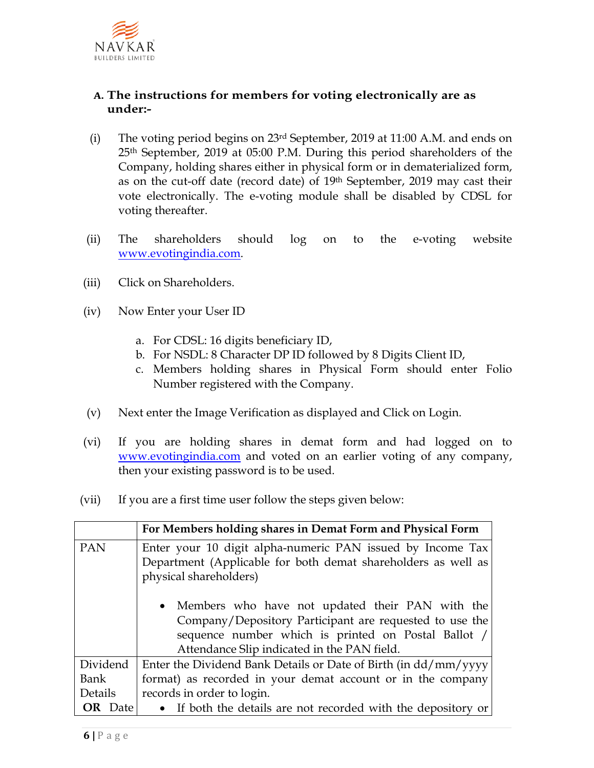

## **A. The instructions for members for voting electronically are as under:-**

- (i) The voting period begins on 23rd September, 2019 at 11:00 A.M. and ends on 25th September, 2019 at 05:00 P.M. During this period shareholders of the Company, holding shares either in physical form or in dematerialized form, as on the cut-off date (record date) of 19th September, 2019 may cast their vote electronically. The e-voting module shall be disabled by CDSL for voting thereafter.
- (ii) The shareholders should log on to the e-voting website [www.evotingindia.com.](http://www.evotingindia.com/)
- (iii) Click on Shareholders.
- (iv) Now Enter your User ID
	- a. For CDSL: 16 digits beneficiary ID,
	- b. For NSDL: 8 Character DP ID followed by 8 Digits Client ID,
	- c. Members holding shares in Physical Form should enter Folio Number registered with the Company.
- (v) Next enter the Image Verification as displayed and Click on Login.
- (vi) If you are holding shares in demat form and had logged on to [www.evotingindia.com](http://www.evotingindia.com/) and voted on an earlier voting of any company, then your existing password is to be used.
- (vii) If you are a first time user follow the steps given below:

|                | For Members holding shares in Demat Form and Physical Form                                                                                                                                                         |  |
|----------------|--------------------------------------------------------------------------------------------------------------------------------------------------------------------------------------------------------------------|--|
| PAN            | Enter your 10 digit alpha-numeric PAN issued by Income Tax<br>Department (Applicable for both demat shareholders as well as<br>physical shareholders)                                                              |  |
|                | • Members who have not updated their PAN with the<br>Company/Depository Participant are requested to use the<br>sequence number which is printed on Postal Ballot /<br>Attendance Slip indicated in the PAN field. |  |
| Dividend       | Enter the Dividend Bank Details or Date of Birth (in dd/mm/yyyy                                                                                                                                                    |  |
| Bank           | format) as recorded in your demat account or in the company                                                                                                                                                        |  |
| Details        | records in order to login.                                                                                                                                                                                         |  |
| <b>OR</b> Date | • If both the details are not recorded with the depository or                                                                                                                                                      |  |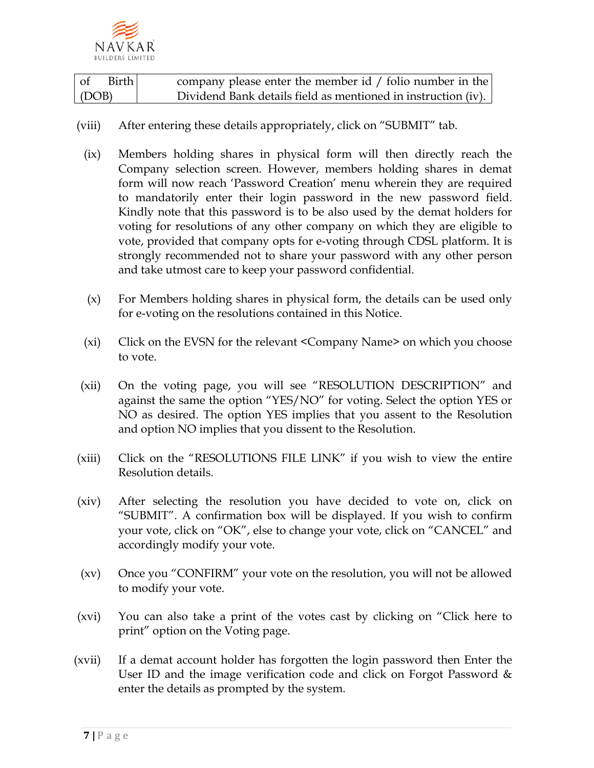

| ∣ of  | Birth I | company please enter the member id $/$ folio number in the    |
|-------|---------|---------------------------------------------------------------|
| (DOB) |         | Dividend Bank details field as mentioned in instruction (iv). |

- (viii) After entering these details appropriately, click on "SUBMIT" tab.
	- (ix) Members holding shares in physical form will then directly reach the Company selection screen. However, members holding shares in demat form will now reach 'Password Creation' menu wherein they are required to mandatorily enter their login password in the new password field. Kindly note that this password is to be also used by the demat holders for voting for resolutions of any other company on which they are eligible to vote, provided that company opts for e-voting through CDSL platform. It is strongly recommended not to share your password with any other person and take utmost care to keep your password confidential.
	- (x) For Members holding shares in physical form, the details can be used only for e-voting on the resolutions contained in this Notice.
	- (xi) Click on the EVSN for the relevant <Company Name> on which you choose to vote.
- (xii) On the voting page, you will see "RESOLUTION DESCRIPTION" and against the same the option "YES/NO" for voting. Select the option YES or NO as desired. The option YES implies that you assent to the Resolution and option NO implies that you dissent to the Resolution.
- (xiii) Click on the "RESOLUTIONS FILE LINK" if you wish to view the entire Resolution details.
- (xiv) After selecting the resolution you have decided to vote on, click on "SUBMIT". A confirmation box will be displayed. If you wish to confirm your vote, click on "OK", else to change your vote, click on "CANCEL" and accordingly modify your vote.
- (xv) Once you "CONFIRM" your vote on the resolution, you will not be allowed to modify your vote.
- (xvi) You can also take a print of the votes cast by clicking on "Click here to print" option on the Voting page.
- (xvii) If a demat account holder has forgotten the login password then Enter the User ID and the image verification code and click on Forgot Password  $\&$ enter the details as prompted by the system.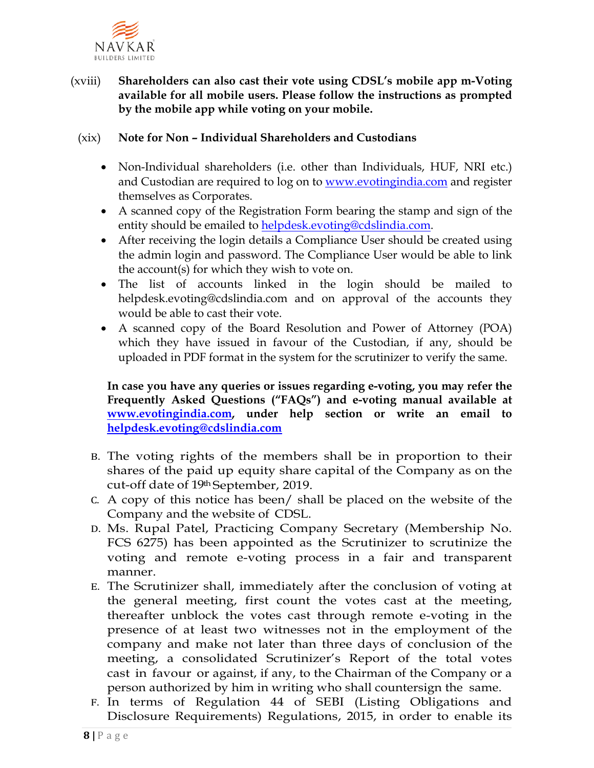

### (xviii) **Shareholders can also cast their vote using CDSL's mobile app m-Voting available for all mobile users. Please follow the instructions as prompted by the mobile app while voting on your mobile.**

#### (xix) **Note for Non – Individual Shareholders and Custodians**

- Non-Individual shareholders (i.e. other than Individuals, HUF, NRI etc.) and Custodian are required to log on to [www.evotingindia.com](http://www.evotingindia.com/) and register themselves as Corporates.
- A scanned copy of the Registration Form bearing the stamp and sign of the entity should be emailed to [helpdesk.evoting@cdslindia.com.](mailto:helpdesk.evoting@cdslindia.com)
- After receiving the login details a Compliance User should be created using the admin login and password. The Compliance User would be able to link the account(s) for which they wish to vote on.
- The list of accounts linked in the login should be mailed to helpdesk.evoting@cdslindia.com and on approval of the accounts they would be able to cast their vote.
- A scanned copy of the Board Resolution and Power of Attorney (POA) which they have issued in favour of the Custodian, if any, should be uploaded in PDF format in the system for the scrutinizer to verify the same.

**In case you have any queries or issues regarding e-voting, you may refer the Frequently Asked Questions ("FAQs") and e-voting manual available at [www.evotingindia.com,](http://www.evotingindia.com/) under help section or write an email to [helpdesk.evoting@cdslindia.com](mailto:helpdesk.evoting@cdslindia.com)**

- B. The voting rights of the members shall be in proportion to their shares of the paid up equity share capital of the Company as on the cut-off date of 19th September, 2019.
- C. A copy of this notice has been/ shall be placed on the website of the Company and the website of CDSL.
- D. Ms. Rupal Patel, Practicing Company Secretary (Membership No. FCS 6275) has been appointed as the Scrutinizer to scrutinize the voting and remote e-voting process in a fair and transparent manner.
- E. The Scrutinizer shall, immediately after the conclusion of voting at the general meeting, first count the votes cast at the meeting, thereafter unblock the votes cast through remote e-voting in the presence of at least two witnesses not in the employment of the company and make not later than three days of conclusion of the meeting, a consolidated Scrutinizer's Report of the total votes cast in favour or against, if any, to the Chairman of the Company or a person authorized by him in writing who shall countersign the same.
- F. In terms of Regulation 44 of SEBI (Listing Obligations and Disclosure Requirements) Regulations, 2015, in order to enable its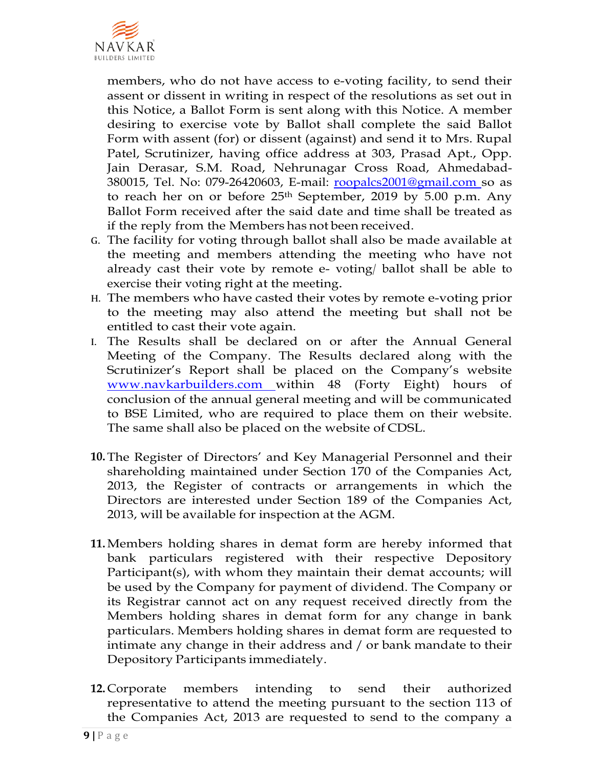

members, who do not have access to e-voting facility, to send their assent or dissent in writing in respect of the resolutions as set out in this Notice, a Ballot Form is sent along with this Notice. A member desiring to exercise vote by Ballot shall complete the said Ballot Form with assent (for) or dissent (against) and send it to Mrs. Rupal Patel, Scrutinizer, having office address at 303, Prasad Apt., Opp. Jain Derasar, S.M. Road, Nehrunagar Cross Road, Ahmedabad-380015, Tel. No: 079-26420603, E-mail: [roopalcs2001@gmail.com s](mailto:roopalcs2001@gmail.com)o as to reach her on or before 25th September, 2019 by 5.00 p.m. Any Ballot Form received after the said date and time shall be treated as if the reply from the Members has not been received.

- G. The facility for voting through ballot shall also be made available at the meeting and members attending the meeting who have not already cast their vote by remote e- voting/ ballot shall be able to exercise their voting right at the meeting.
- H. The members who have casted their votes by remote e-voting prior to the meeting may also attend the meeting but shall not be entitled to cast their vote again.
- I. The Results shall be declared on or after the Annual General Meeting of the Company. The Results declared along with the Scrutinizer's Report shall be placed on the Company's website [www.navkarbuilders.com](http://www.navkarbuilders.com/) within 48 (Forty Eight) hours of conclusion of the annual general meeting and will be communicated to BSE Limited, who are required to place them on their website. The same shall also be placed on the website of CDSL.
- **10.**The Register of Directors' and Key Managerial Personnel and their shareholding maintained under Section 170 of the Companies Act, 2013, the Register of contracts or arrangements in which the Directors are interested under Section 189 of the Companies Act, 2013, will be available for inspection at the AGM.
- **11.**Members holding shares in demat form are hereby informed that bank particulars registered with their respective Depository Participant(s), with whom they maintain their demat accounts; will be used by the Company for payment of dividend. The Company or its Registrar cannot act on any request received directly from the Members holding shares in demat form for any change in bank particulars. Members holding shares in demat form are requested to intimate any change in their address and / or bank mandate to their Depository Participants immediately.
- **12.** Corporate members intending to send their authorized representative to attend the meeting pursuant to the section 113 of the Companies Act, 2013 are requested to send to the company a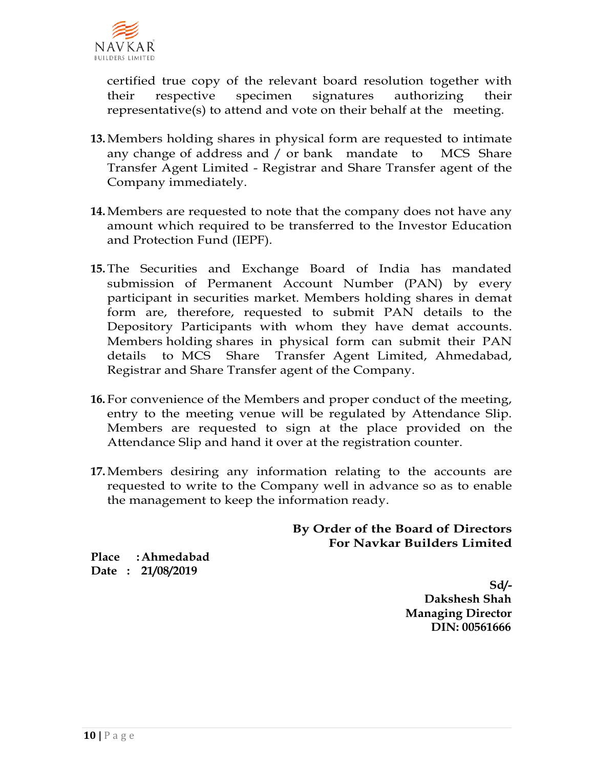

certified true copy of the relevant board resolution together with their respective specimen signatures authorizing their representative(s) to attend and vote on their behalf at the meeting.

- **13.**Members holding shares in physical form are requested to intimate any change of address and / or bank mandate to MCS Share Transfer Agent Limited - Registrar and Share Transfer agent of the Company immediately.
- **14.**Members are requested to note that the company does not have any amount which required to be transferred to the Investor Education and Protection Fund (IEPF).
- **15.**The Securities and Exchange Board of India has mandated submission of Permanent Account Number (PAN) by every participant in securities market. Members holding shares in demat form are, therefore, requested to submit PAN details to the Depository Participants with whom they have demat accounts. Members holding shares in physical form can submit their PAN details to MCS Share Transfer Agent Limited, Ahmedabad, Registrar and Share Transfer agent of the Company.
- **16.** For convenience of the Members and proper conduct of the meeting, entry to the meeting venue will be regulated by Attendance Slip. Members are requested to sign at the place provided on the Attendance Slip and hand it over at the registration counter.
- **17.**Members desiring any information relating to the accounts are requested to write to the Company well in advance so as to enable the management to keep the information ready.

### **By Order of the Board of Directors For Navkar Builders Limited**

**Place :Ahmedabad Date : 21/08/2019**

> **Sd/- Dakshesh Shah Managing Director DIN: 00561666**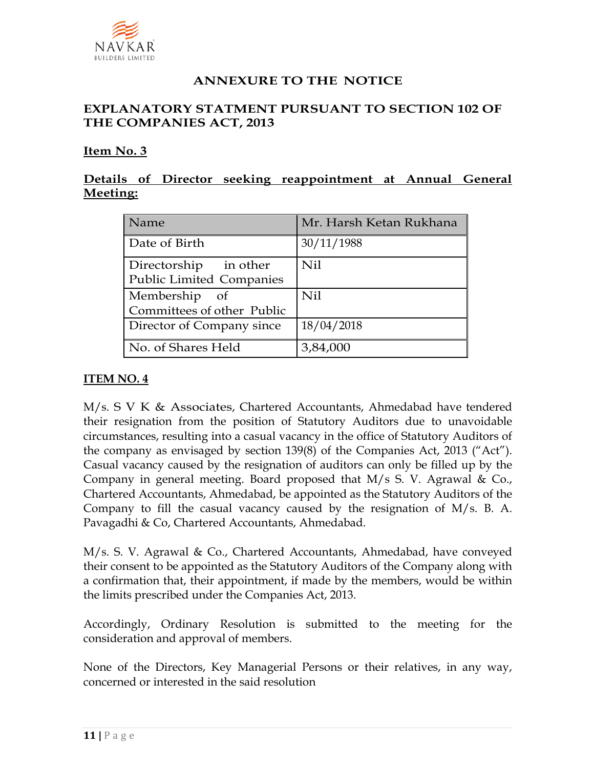

# **ANNEXURE TO THE NOTICE**

### **EXPLANATORY STATMENT PURSUANT TO SECTION 102 OF THE COMPANIES ACT, 2013**

#### **Item No. 3**

## **Details of Director seeking reappointment at Annual General Meeting:**

| Name                                                     | Mr. Harsh Ketan Rukhana |
|----------------------------------------------------------|-------------------------|
| Date of Birth                                            | 30/11/1988              |
| Directorship in other<br><b>Public Limited Companies</b> | <b>Nil</b>              |
| Membership of<br>Committees of other Public              | Nil                     |
| Director of Company since                                | 18/04/2018              |
| No. of Shares Held                                       | 3,84,000                |

#### **ITEM NO. 4**

M/s. S V K & Associates, Chartered Accountants, Ahmedabad have tendered their resignation from the position of Statutory Auditors due to unavoidable circumstances, resulting into a casual vacancy in the office of Statutory Auditors of the company as envisaged by section 139(8) of the Companies Act, 2013 ("Act"). Casual vacancy caused by the resignation of auditors can only be filled up by the Company in general meeting. Board proposed that M/s S. V. Agrawal & Co., Chartered Accountants, Ahmedabad, be appointed as the Statutory Auditors of the Company to fill the casual vacancy caused by the resignation of M/s. B. A. Pavagadhi & Co, Chartered Accountants, Ahmedabad.

M/s. S. V. Agrawal & Co., Chartered Accountants, Ahmedabad, have conveyed their consent to be appointed as the Statutory Auditors of the Company along with a confirmation that, their appointment, if made by the members, would be within the limits prescribed under the Companies Act, 2013.

Accordingly, Ordinary Resolution is submitted to the meeting for the consideration and approval of members.

None of the Directors, Key Managerial Persons or their relatives, in any way, concerned or interested in the said resolution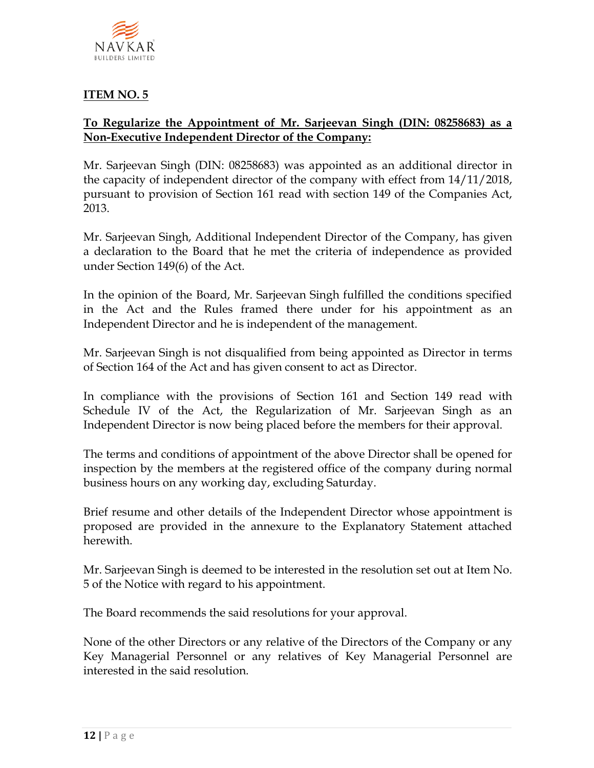

## **ITEM NO. 5**

## **To Regularize the Appointment of Mr. Sarjeevan Singh (DIN: 08258683) as a Non-Executive Independent Director of the Company:**

Mr. Sarjeevan Singh (DIN: 08258683) was appointed as an additional director in the capacity of independent director of the company with effect from 14/11/2018, pursuant to provision of Section 161 read with section 149 of the Companies Act, 2013.

Mr. Sarjeevan Singh, Additional Independent Director of the Company, has given a declaration to the Board that he met the criteria of independence as provided under Section 149(6) of the Act.

In the opinion of the Board, Mr. Sarjeevan Singh fulfilled the conditions specified in the Act and the Rules framed there under for his appointment as an Independent Director and he is independent of the management.

Mr. Sarjeevan Singh is not disqualified from being appointed as Director in terms of Section 164 of the Act and has given consent to act as Director.

In compliance with the provisions of Section 161 and Section 149 read with Schedule IV of the Act, the Regularization of Mr. Sarjeevan Singh as an Independent Director is now being placed before the members for their approval.

The terms and conditions of appointment of the above Director shall be opened for inspection by the members at the registered office of the company during normal business hours on any working day, excluding Saturday.

Brief resume and other details of the Independent Director whose appointment is proposed are provided in the annexure to the Explanatory Statement attached herewith.

Mr. Sarjeevan Singh is deemed to be interested in the resolution set out at Item No. 5 of the Notice with regard to his appointment.

The Board recommends the said resolutions for your approval.

None of the other Directors or any relative of the Directors of the Company or any Key Managerial Personnel or any relatives of Key Managerial Personnel are interested in the said resolution.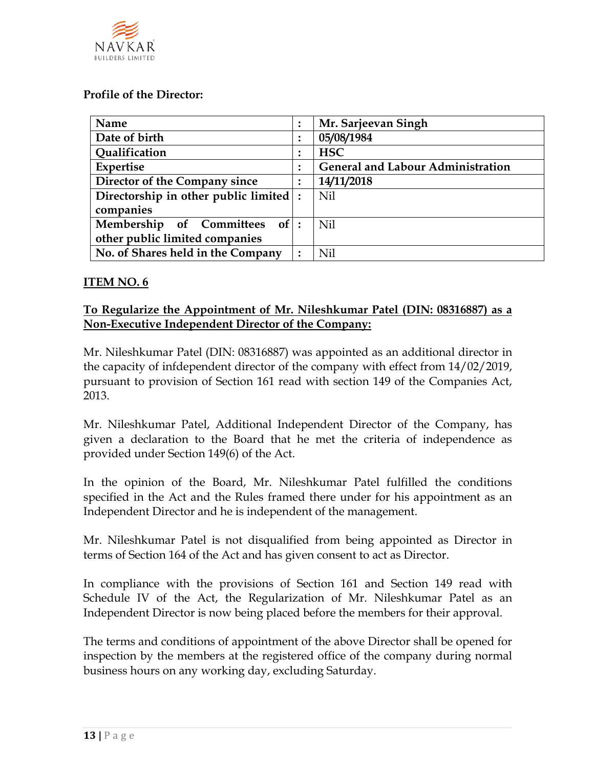

#### **Profile of the Director:**

| Name                                   |  | Mr. Sarjeevan Singh                      |
|----------------------------------------|--|------------------------------------------|
| Date of birth                          |  | 05/08/1984                               |
| Qualification                          |  | <b>HSC</b>                               |
| Expertise                              |  | <b>General and Labour Administration</b> |
| Director of the Company since          |  | 14/11/2018                               |
| Directorship in other public limited : |  | Nil                                      |
| companies                              |  |                                          |
| Membership of Committees of:           |  | Nil                                      |
| other public limited companies         |  |                                          |
| No. of Shares held in the Company      |  | Nil                                      |

#### **ITEM NO. 6**

### **To Regularize the Appointment of Mr. Nileshkumar Patel (DIN: 08316887) as a Non-Executive Independent Director of the Company:**

Mr. Nileshkumar Patel (DIN: 08316887) was appointed as an additional director in the capacity of infdependent director of the company with effect from 14/02/2019, pursuant to provision of Section 161 read with section 149 of the Companies Act, 2013.

Mr. Nileshkumar Patel, Additional Independent Director of the Company, has given a declaration to the Board that he met the criteria of independence as provided under Section 149(6) of the Act.

In the opinion of the Board, Mr. Nileshkumar Patel fulfilled the conditions specified in the Act and the Rules framed there under for his appointment as an Independent Director and he is independent of the management.

Mr. Nileshkumar Patel is not disqualified from being appointed as Director in terms of Section 164 of the Act and has given consent to act as Director.

In compliance with the provisions of Section 161 and Section 149 read with Schedule IV of the Act, the Regularization of Mr. Nileshkumar Patel as an Independent Director is now being placed before the members for their approval.

The terms and conditions of appointment of the above Director shall be opened for inspection by the members at the registered office of the company during normal business hours on any working day, excluding Saturday.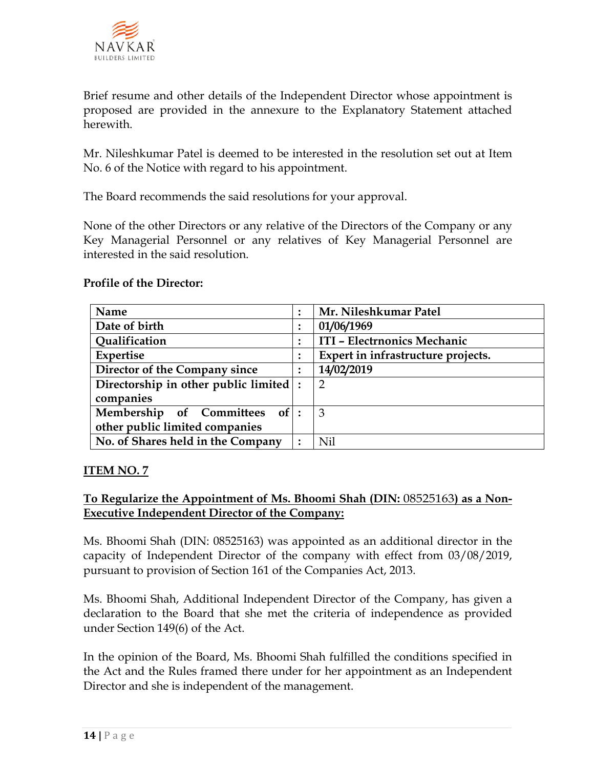

Brief resume and other details of the Independent Director whose appointment is proposed are provided in the annexure to the Explanatory Statement attached herewith.

Mr. Nileshkumar Patel is deemed to be interested in the resolution set out at Item No. 6 of the Notice with regard to his appointment.

The Board recommends the said resolutions for your approval.

None of the other Directors or any relative of the Directors of the Company or any Key Managerial Personnel or any relatives of Key Managerial Personnel are interested in the said resolution.

### **Profile of the Director:**

| Name                                       |  | Mr. Nileshkumar Patel              |
|--------------------------------------------|--|------------------------------------|
| Date of birth                              |  | 01/06/1969                         |
| Qualification                              |  | ITI - Electrnonics Mechanic        |
| Expertise                                  |  | Expert in infrastructure projects. |
| Director of the Company since              |  | 14/02/2019                         |
| Directorship in other public limited $ $ : |  | 2                                  |
| companies                                  |  |                                    |
| Membership of Committees of:               |  | 3                                  |
| other public limited companies             |  |                                    |
| No. of Shares held in the Company          |  | Nil                                |

## **ITEM NO. 7**

## **To Regularize the Appointment of Ms. Bhoomi Shah (DIN:** 08525163**) as a Non-Executive Independent Director of the Company:**

Ms. Bhoomi Shah (DIN: 08525163) was appointed as an additional director in the capacity of Independent Director of the company with effect from 03/08/2019, pursuant to provision of Section 161 of the Companies Act, 2013.

Ms. Bhoomi Shah, Additional Independent Director of the Company, has given a declaration to the Board that she met the criteria of independence as provided under Section 149(6) of the Act.

In the opinion of the Board, Ms. Bhoomi Shah fulfilled the conditions specified in the Act and the Rules framed there under for her appointment as an Independent Director and she is independent of the management.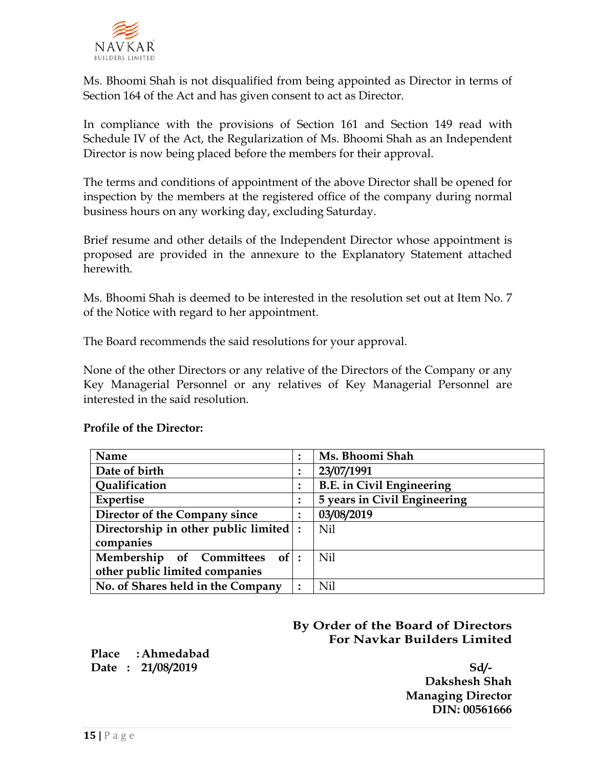

Ms. Bhoomi Shah is not disqualified from being appointed as Director in terms of Section 164 of the Act and has given consent to act as Director.

In compliance with the provisions of Section 161 and Section 149 read with Schedule IV of the Act, the Regularization of Ms. Bhoomi Shah as an Independent Director is now being placed before the members for their approval.

The terms and conditions of appointment of the above Director shall be opened for inspection by the members at the registered office of the company during normal business hours on any working day, excluding Saturday.

Brief resume and other details of the Independent Director whose appointment is proposed are provided in the annexure to the Explanatory Statement attached herewith.

Ms. Bhoomi Shah is deemed to be interested in the resolution set out at Item No. 7 of the Notice with regard to her appointment.

The Board recommends the said resolutions for your approval.

None of the other Directors or any relative of the Directors of the Company or any Key Managerial Personnel or any relatives of Key Managerial Personnel are interested in the said resolution.

#### **Profile of the Director:**

| Name                                   |        | Ms. Bhoomi Shah                  |
|----------------------------------------|--------|----------------------------------|
| Date of birth                          |        | 23/07/1991                       |
| Qualification                          |        | <b>B.E.</b> in Civil Engineering |
| <b>Expertise</b>                       |        | 5 years in Civil Engineering     |
| Director of the Company since          | ٠<br>٠ | 03/08/2019                       |
| Directorship in other public limited : |        | Nil                              |
| companies                              |        |                                  |
| Membership of Committees of:           |        | Nil                              |
| other public limited companies         |        |                                  |
| No. of Shares held in the Company      |        | Nil                              |

# **By Order of the Board of Directors For Navkar Builders Limited**

**Place :Ahmedabad Date : 21/08/2019 Sd/-** 

**Dakshesh Shah Managing Director DIN: 00561666**